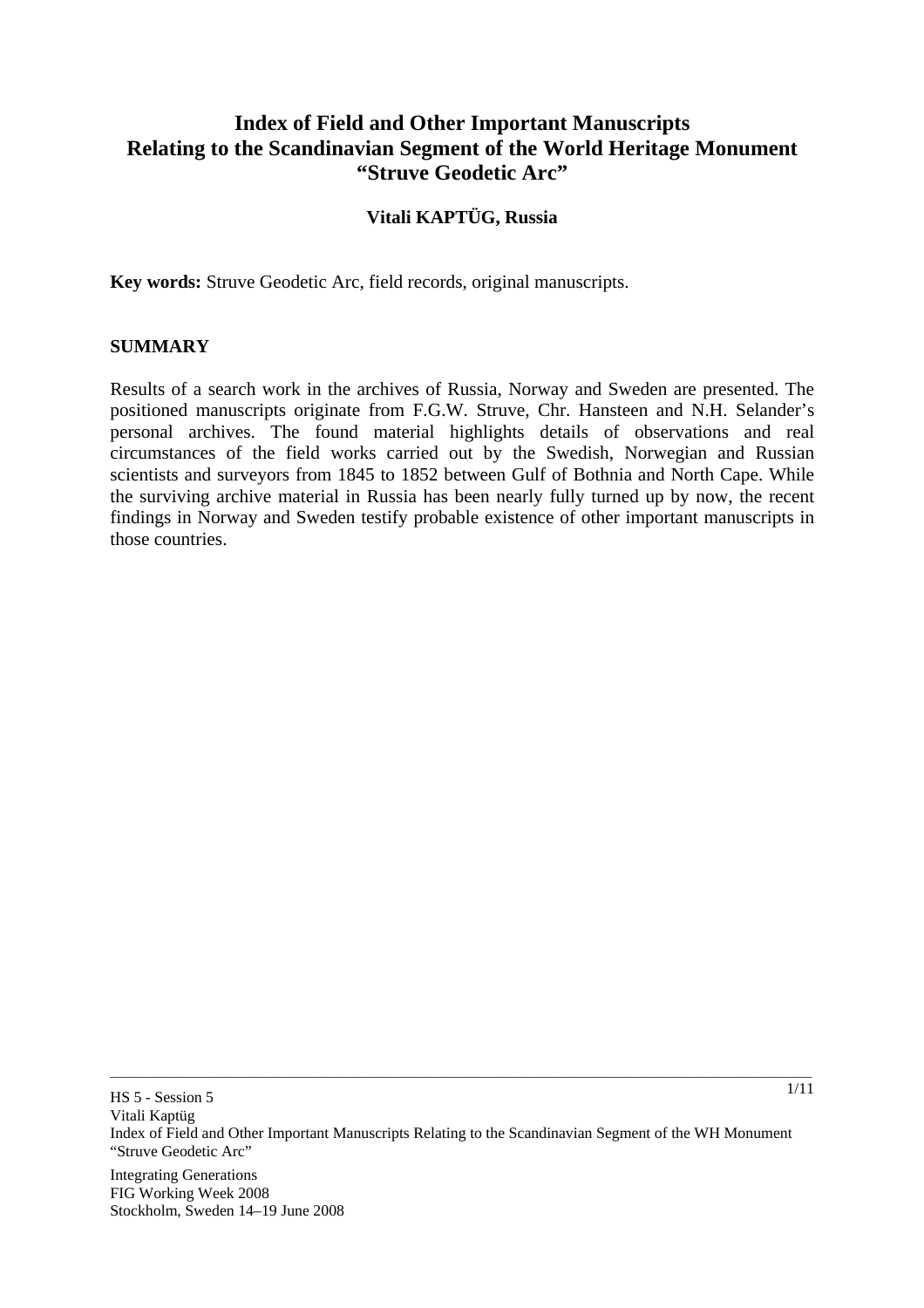# **Index of Field and Other Important Manuscripts Relating to the Scandinavian Segment of the World Heritage Monument "Struve Geodetic Arc"**

## **Vitali KAPTÜG, Russia**

**Key words:** Struve Geodetic Arc, field records, original manuscripts.

#### **SUMMARY**

Results of a search work in the archives of Russia, Norway and Sweden are presented. The positioned manuscripts originate from F.G.W. Struve, Chr. Hansteen and N.H. Selander's personal archives. The found material highlights details of observations and real circumstances of the field works carried out by the Swedish, Norwegian and Russian scientists and surveyors from 1845 to 1852 between Gulf of Bothnia and North Cape. While the surviving archive material in Russia has been nearly fully turned up by now, the recent findings in Norway and Sweden testify probable existence of other important manuscripts in those countries.

\_\_\_\_\_\_\_\_\_\_\_\_\_\_\_\_\_\_\_\_\_\_\_\_\_\_\_\_\_\_\_\_\_\_\_\_\_\_\_\_\_\_\_\_\_\_\_\_\_\_\_\_\_\_\_\_\_\_\_\_\_\_\_\_\_\_\_\_\_\_\_\_\_\_\_\_\_\_\_\_\_\_\_\_\_\_\_\_\_\_\_\_\_\_\_\_\_\_\_\_\_\_\_\_\_\_\_\_\_\_\_\_\_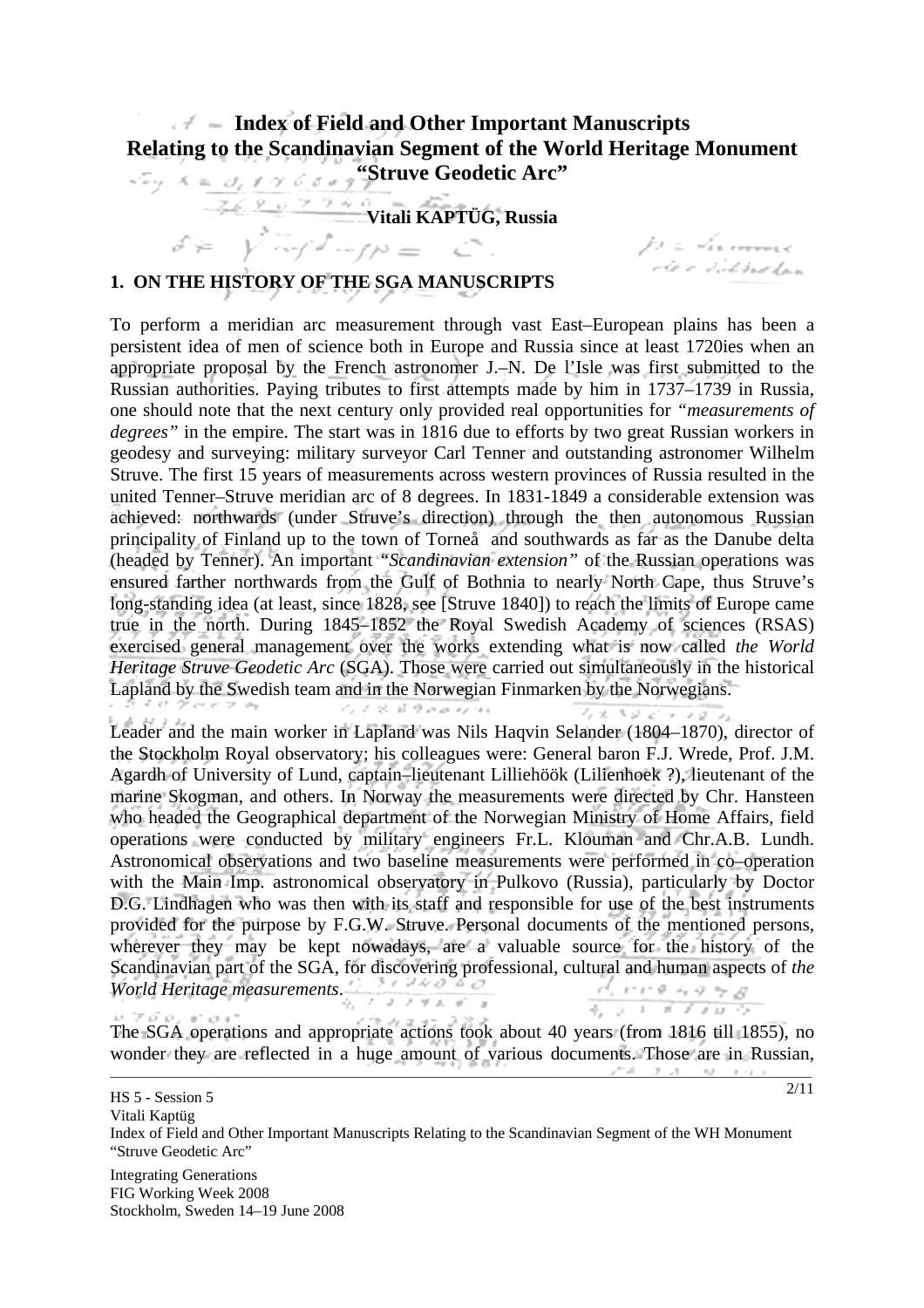# **Index of Field and Other Important Manuscripts Relating to the Scandinavian Segment of the World Heritage Monument Explored Struve Geodetic Arc"**

 $Z \leftarrow \frac{9}{2} \frac{9}{2} \frac{9}{2} \frac{9}{2} \frac{9}{2} \frac{9}{2} \frac{9}{2} \frac{9}{2} \frac{9}{2} \frac{9}{2} \frac{9}{2} \frac{9}{2} \frac{9}{2} \frac{9}{2} \frac{9}{2} \frac{9}{2} \frac{9}{2} \frac{9}{2} \frac{9}{2} \frac{9}{2} \frac{9}{2} \frac{9}{2} \frac{9}{2} \frac{9}{2} \frac{9}{2} \frac{9}{2} \frac{9}{2} \frac{9}{2} \frac{9}{2} \frac{9}{2} \frac{9}{2$ 

p a divinner.<br>Ar e victorelan

 $\mathcal{L}^{\alpha} \mathcal{L}^{\beta} = \mathcal{I}^{\alpha} \mathcal{L}^{\beta} = \mathcal{I}^{\alpha} \mathcal{L}^{\alpha} = \mathcal{I}^{\alpha} \mathcal{L}^{\alpha} = \mathcal{I}^{\alpha} \mathcal{L}^{\alpha}$ 

2/11

## **1. ON THE HISTORY OF THE SGA MANUSCRIPTS**

To perform a meridian arc measurement through vast East–European plains has been a persistent idea of men of science both in Europe and Russia since at least 1720ies when an appropriate proposal by the French astronomer J.–N. De l'Isle was first submitted to the Russian authorities. Paying tributes to first attempts made by him in 1737–1739 in Russia, one should note that the next century only provided real opportunities for *"measurements of degrees"* in the empire. The start was in 1816 due to efforts by two great Russian workers in geodesy and surveying: military surveyor Carl Tenner and outstanding astronomer Wilhelm Struve. The first 15 years of measurements across western provinces of Russia resulted in the united Tenner–Struve meridian arc of 8 degrees. In 1831-1849 a considerable extension was achieved: northwards (under Struve's direction) through the then autonomous Russian principality of Finland up to the town of Torneå and southwards as far as the Danube delta (headed by Tenner). An important *"Scandinavian extension"* of the Russian operations was ensured farther northwards from the Gulf of Bothnia to nearly North Cape, thus Struve's long-standing idea (at least, since 1828, see [Struve 1840]) to reach the limits of Europe came true in the north. During 1845–1852 the Royal Swedish Academy of sciences (RSAS) exercised general management over the works extending what is now called *the World Heritage Struve Geodetic Arc* (SGA). Those were carried out simultaneously in the historical Lapland by the Swedish team and in the Norwegian Finmarken by the Norwegians.  $\frac{1}{2}$  $2x + 3x + 10x$ 

Leader and the main worker in Lapland was Nils Haqvin Selander (1804–1870), director of the Stockholm Royal observatory; his colleagues were: General baron F.J. Wrede, Prof. J.M. Agardh of University of Lund, captain–lieutenant Lilliehöök (Lilienhoek ?), lieutenant of the marine Skogman, and others. In Norway the measurements were directed by Chr. Hansteen who headed the Geographical department of the Norwegian Ministry of Home Affairs, field operations were conducted by military engineers Fr.L. Klouman and Chr.A.B. Lundh. Astronomical observations and two baseline measurements were performed in co–operation with the Main Imp. astronomical observatory in Pulkovo (Russia), particularly by Doctor D.G. Lindhagen who was then with its staff and responsible for use of the best instruments provided for the purpose by F.G.W. Struve. Personal documents of the mentioned persons, wherever they may be kept nowadays, are a valuable source for the history of the Scandinavian part of the SGA, for discovering professional, cultural and human aspects of *the World Heritage measurements*.  $\frac{1}{4}$   $\frac{1}{4}$   $\frac{1}{4}$   $\frac{1}{4}$   $\frac{1}{4}$   $\frac{1}{4}$   $\frac{1}{4}$   $\frac{1}{4}$   $\frac{1}{4}$ 

The SGA operations and appropriate actions took about 40 years (from 1816 till 1855), no wonder they are reflected in a huge amount of various documents. Those are in Russian,

HS 5 - Session 5

Vitali Kaptüg Index of Field and Other Important Manuscripts Relating to the Scandinavian Segment of the WH Monument "Struve Geodetic Arc"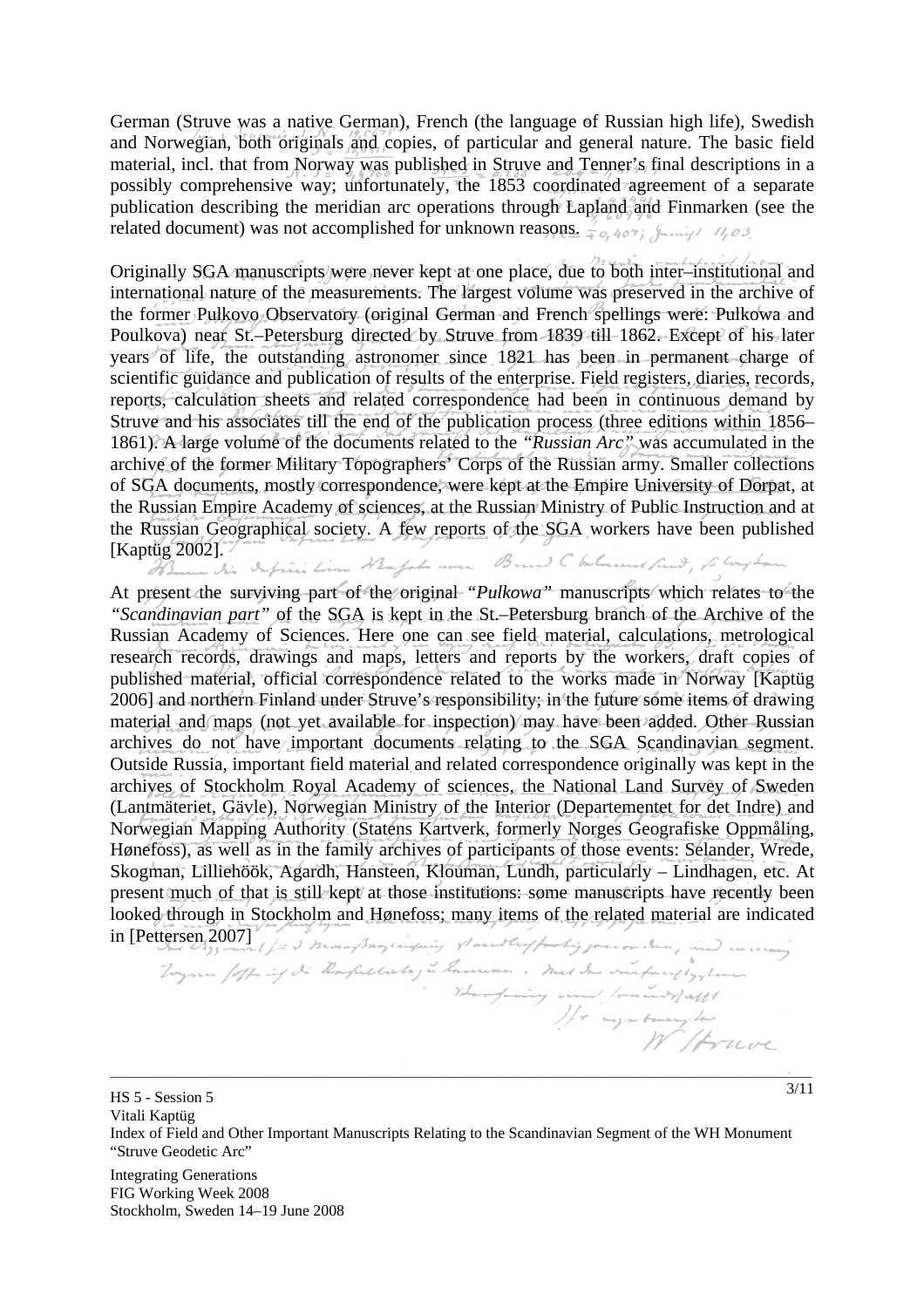German (Struve was a native German), French (the language of Russian high life), Swedish and Norwegian, both originals and copies, of particular and general nature. The basic field material, incl. that from Norway was published in Struve and Tenner's final descriptions in a possibly comprehensive way; unfortunately, the 1853 coordinated agreement of a separate publication describing the meridian arc operations through Lapland and Finmarken (see the related document) was not accomplished for unknown reasons.  $\frac{7}{4} \sigma_1 4 \sigma^2 i \int \sigma^2$ 

Originally SGA manuscripts were never kept at one place, due to both inter–institutional and international nature of the measurements. The largest volume was preserved in the archive of the former Pulkovo Observatory (original German and French spellings were: Pulkowa and Poulkova) near St.–Petersburg directed by Struve from 1839 till 1862. Except of his later years of life, the outstanding astronomer since 1821 has been in permanent charge of scientific guidance and publication of results of the enterprise. Field registers, diaries, records, reports, calculation sheets and related correspondence had been in continuous demand by Struve and his associates till the end of the publication process (three editions within 1856– 1861). A large volume of the documents related to the *"Russian Arc"* was accumulated in the archive of the former Military Topographers' Corps of the Russian army. Smaller collections of SGA documents, mostly correspondence, were kept at the Empire University of Dorpat, at the Russian Empire Academy of sciences, at the Russian Ministry of Public Instruction and at the Russian Geographical society. A few reports of the SGA workers have been published [Kaptüg 2002]. The expectation of the process of the content field, is long to an

At present the surviving part of the original *"Pulkowa"* manuscripts which relates to the *"Scandinavian part"* of the SGA is kept in the St.–Petersburg branch of the Archive of the Russian Academy of Sciences. Here one can see field material, calculations, metrological research records, drawings and maps, letters and reports by the workers, draft copies of published material, official correspondence related to the works made in Norway [Kaptüg 2006] and northern Finland under Struve's responsibility; in the future some items of drawing material and maps (not yet available for inspection) may have been added. Other Russian archives do not have important documents relating to the SGA Scandinavian segment. Outside Russia, important field material and related correspondence originally was kept in the archives of Stockholm Royal Academy of sciences, the National Land Survey of Sweden (Lantmäteriet, Gävle), Norwegian Ministry of the Interior (Departementet for det Indre) and Norwegian Mapping Authority (Statens Kartverk, formerly Norges Geografiske Oppmåling, Hønefoss), as well as in the family archives of participants of those events: Selander, Wrede, Skogman, Lilliehöök, Agardh, Hansteen, Klouman, Lundh, particularly – Lindhagen, etc. At present much of that is still kept at those institutions: some manuscripts have recently been looked through in Stockholm and Hønefoss; many items of the related material are indicated

\_\_\_\_\_\_\_\_\_\_\_\_\_\_\_\_\_\_\_\_\_\_\_\_\_\_\_\_\_\_\_\_\_\_\_\_\_\_\_\_\_\_\_\_\_\_\_\_\_\_\_\_\_\_\_\_\_\_\_\_\_\_\_\_\_\_\_\_\_\_\_\_\_\_\_\_\_\_\_\_\_\_\_\_\_\_\_\_\_\_\_\_\_\_\_\_\_\_\_\_\_\_\_\_\_\_\_\_\_\_\_\_\_ 3/11 in [Pettersen 2007]<br>in [Pettersen 2007]<br>Toynu foft is it despietales is have an individual in the one fact is formed in the company of the internal of<br>Toynu foft is it despietales is have an individual fraction of the comp

HS 5 - Session 5 Vitali Kaptüg Index of Field and Other Important Manuscripts Relating to the Scandinavian Segment of the WH Monument "Struve Geodetic Arc"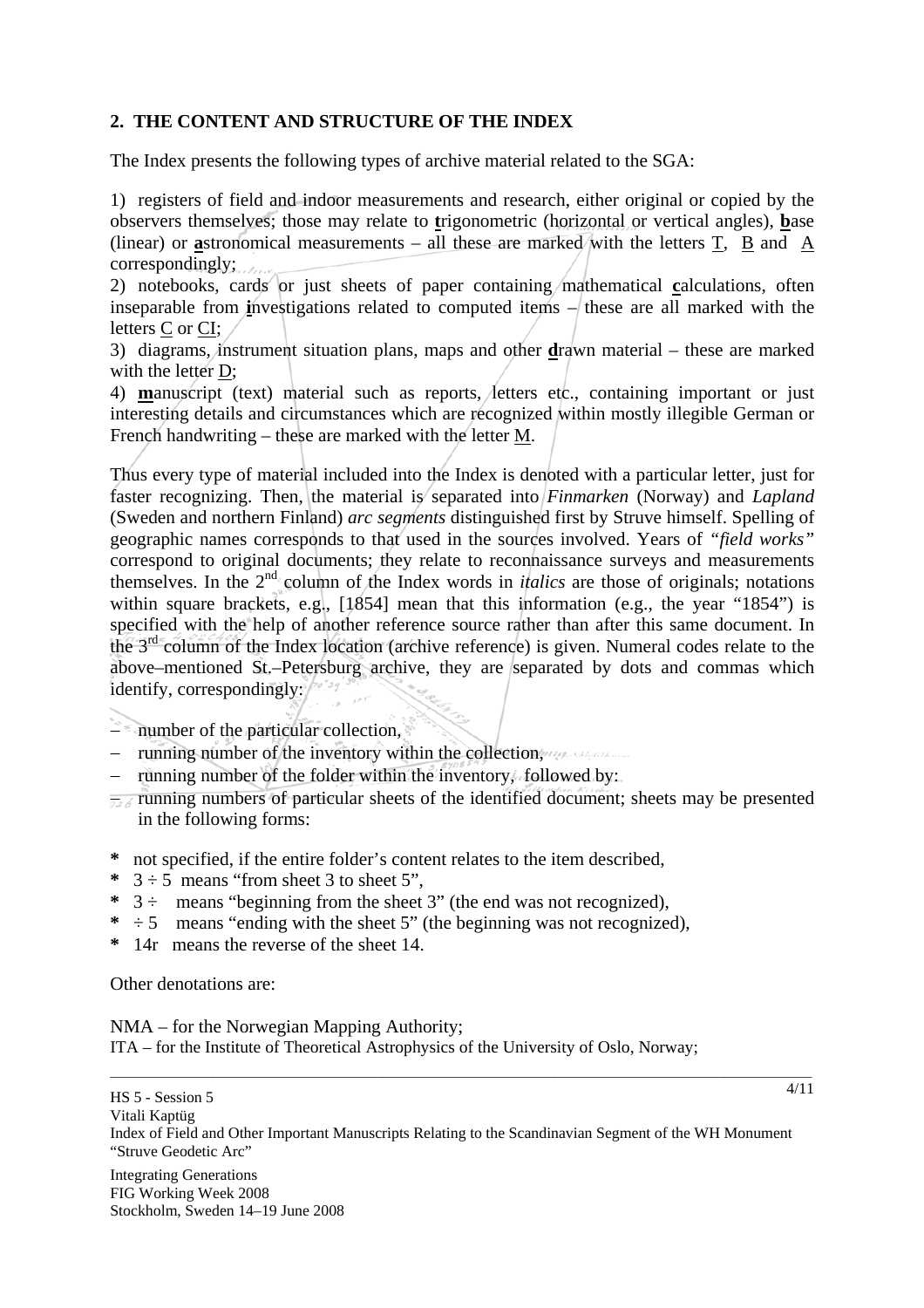## **2. THE CONTENT AND STRUCTURE OF THE INDEX**

The Index presents the following types of archive material related to the SGA:

1) registers of field and indoor measurements and research, either original or copied by the observers themselves; those may relate to **t**rigonometric (horizontal or vertical angles), **b**ase (linear) or **a**stronomical measurements – all these are marked with the letters T, B and A correspondingly;

2) notebooks, cards or just sheets of paper containing mathematical **c**alculations, often inseparable from **i**nvestigations related to computed items  $\frac{1}{\sqrt{1}}$  these are all marked with the letters C or CI;

3) diagrams, instrument situation plans, maps and other **d**rawn material – these are marked with the letter D:

4) **m**anuscript (text) material such as reports, letters etc., containing important or just interesting details and circumstances which are recognized within mostly illegible German or French handwriting – these are marked with the letter M.

Thus every type of material included into the Index is denoted with a particular letter, just for faster recognizing. Then, the material is separated into *Finmarken* (Norway) and *Lapland* (Sweden and northern Finland) *arc segments* distinguished first by Struve himself. Spelling of geographic names corresponds to that used in the sources involved. Years of *"field works"*  correspond to original documents; they relate to reconnaissance surveys and measurements themselves. In the 2nd column of the Index words in *italics* are those of originals; notations within square brackets, e.g., [1854] mean that this information (e.g., the year "1854") is specified with the help of another reference source rather than after this same document. In the  $3<sup>rd</sup>$  column of the Index location (archive reference) is given. Numeral codes relate to the above–mentioned St.–Petersburg archive, they are separated by dots and commas which identify, correspondingly:

− number of the particular collection,

- running number of the inventory within the collection,
- running number of the folder within the inventory, followed by:
- − running numbers of particular sheets of the identified document; sheets may be presented in the following forms:
- **\*** not specified, if the entire folder's content relates to the item described,
- \*  $3 \div 5$  means "from sheet 3 to sheet 5".
- \*  $3 \div$  means "beginning from the sheet 3" (the end was not recognized),
- $* \div 5$  means "ending with the sheet 5" (the beginning was not recognized),
- **\*** 14r means the reverse of the sheet 14.

Other denotations are:

NMA – for the Norwegian Mapping Authority; ITA – for the Institute of Theoretical Astrophysics of the University of Oslo, Norway;

HS 5 - Session 5 Vitali Kaptüg Index of Field and Other Important Manuscripts Relating to the Scandinavian Segment of the WH Monument "Struve Geodetic Arc"

\_\_\_\_\_\_\_\_\_\_\_\_\_\_\_\_\_\_\_\_\_\_\_\_\_\_\_\_\_\_\_\_\_\_\_\_\_\_\_\_\_\_\_\_\_\_\_\_\_\_\_\_\_\_\_\_\_\_\_\_\_\_\_\_\_\_\_\_\_\_\_\_\_\_\_\_\_\_\_\_\_\_\_\_\_\_\_\_\_\_\_\_\_\_\_\_\_\_\_\_\_\_\_\_\_\_\_\_\_\_\_\_\_

Integrating Generations FIG Working Week 2008 Stockholm, Sweden 14–19 June 2008 4/11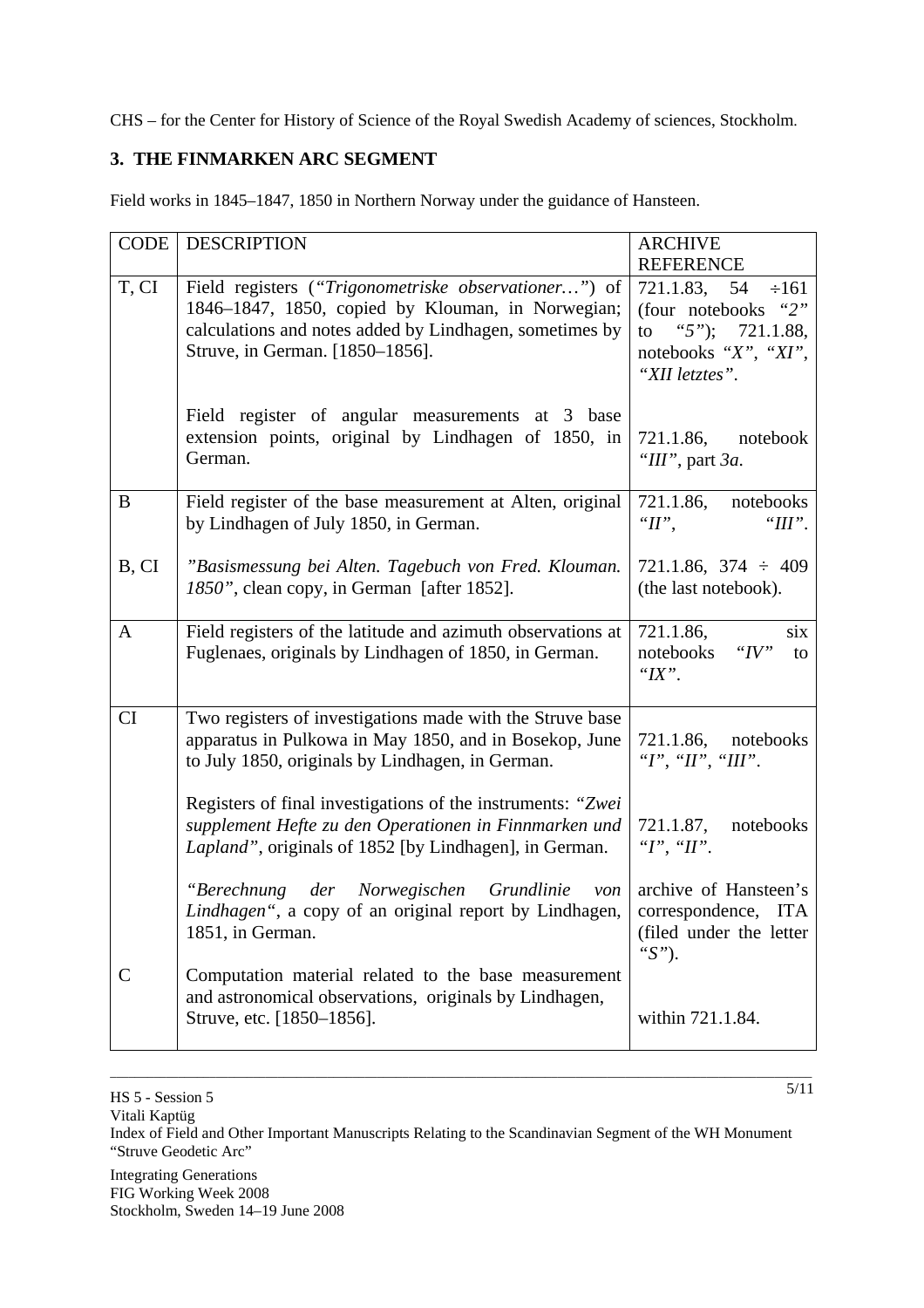CHS – for the Center for History of Science of the Royal Swedish Academy of sciences, Stockholm.

### **3. THE FINMARKEN ARC SEGMENT**

Field works in 1845–1847, 1850 in Northern Norway under the guidance of Hansteen.

| <b>CODE</b>  | <b>DESCRIPTION</b>                                                                                                                                                                                      | <b>ARCHIVE</b>                                                                                                              |
|--------------|---------------------------------------------------------------------------------------------------------------------------------------------------------------------------------------------------------|-----------------------------------------------------------------------------------------------------------------------------|
|              |                                                                                                                                                                                                         | <b>REFERENCE</b>                                                                                                            |
| T, CI        | Field registers ("Trigonometriske observationer") of<br>1846–1847, 1850, copied by Klouman, in Norwegian;<br>calculations and notes added by Lindhagen, sometimes by<br>Struve, in German. [1850-1856]. | $\div 161$<br>721.1.83, 54<br>(four notebooks)<br>"2"<br>to<br>"5"); $721.1.88$ ,<br>notebooks "X", "XI",<br>"XII letztes". |
|              | Field register of angular measurements at 3 base<br>extension points, original by Lindhagen of 1850, in<br>German.                                                                                      | $721.1.86$ , notebook<br>"III", part 3a.                                                                                    |
| $\bf{B}$     | Field register of the base measurement at Alten, original<br>by Lindhagen of July 1850, in German.                                                                                                      | 721.1.86,<br>notebooks<br>" $II$ ",<br>" $III$ ".                                                                           |
| B, CI        | "Basismessung bei Alten. Tagebuch von Fred. Klouman.<br>1850", clean copy, in German [after 1852].                                                                                                      | $721.1.86$ , $374 \div 409$<br>(the last notebook).                                                                         |
| $\mathbf{A}$ | Field registers of the latitude and azimuth observations at<br>Fuglenaes, originals by Lindhagen of 1850, in German.                                                                                    | 721.1.86,<br>six<br>" $IV"$<br>notebooks<br>to<br>" $IX$ ".                                                                 |
| CI           | Two registers of investigations made with the Struve base<br>apparatus in Pulkowa in May 1850, and in Bosekop, June<br>to July 1850, originals by Lindhagen, in German.                                 | 721.1.86, notebooks<br>" $I$ ", " $II$ ", " $III$ ".                                                                        |
|              | Registers of final investigations of the instruments: "Zwei<br>supplement Hefte zu den Operationen in Finnmarken und<br>Lapland", originals of 1852 [by Lindhagen], in German.                          | 721.1.87,<br>notebooks<br>" $I$ ", " $II$ ".                                                                                |
|              | "Berechnung der Norwegischen<br>Grundlinie<br>von<br>Lindhagen", a copy of an original report by Lindhagen,<br>1851, in German.                                                                         | archive of Hansteen's<br>correspondence,<br><b>ITA</b><br>(filed under the letter)<br>" $S$ ").                             |
| $\mathsf{C}$ | Computation material related to the base measurement<br>and astronomical observations, originals by Lindhagen,<br>Struve, etc. [1850–1856].                                                             | within 721.1.84.                                                                                                            |

Vitali Kaptüg

Index of Field and Other Important Manuscripts Relating to the Scandinavian Segment of the WH Monument "Struve Geodetic Arc"

Integrating Generations FIG Working Week 2008 Stockholm, Sweden 14–19 June 2008

\_\_\_\_\_\_\_\_\_\_\_\_\_\_\_\_\_\_\_\_\_\_\_\_\_\_\_\_\_\_\_\_\_\_\_\_\_\_\_\_\_\_\_\_\_\_\_\_\_\_\_\_\_\_\_\_\_\_\_\_\_\_\_\_\_\_\_\_\_\_\_\_\_\_\_\_\_\_\_\_\_\_\_\_\_\_\_\_\_\_\_\_\_\_\_\_\_\_\_\_\_\_\_\_\_\_\_\_\_\_\_\_\_ 5/11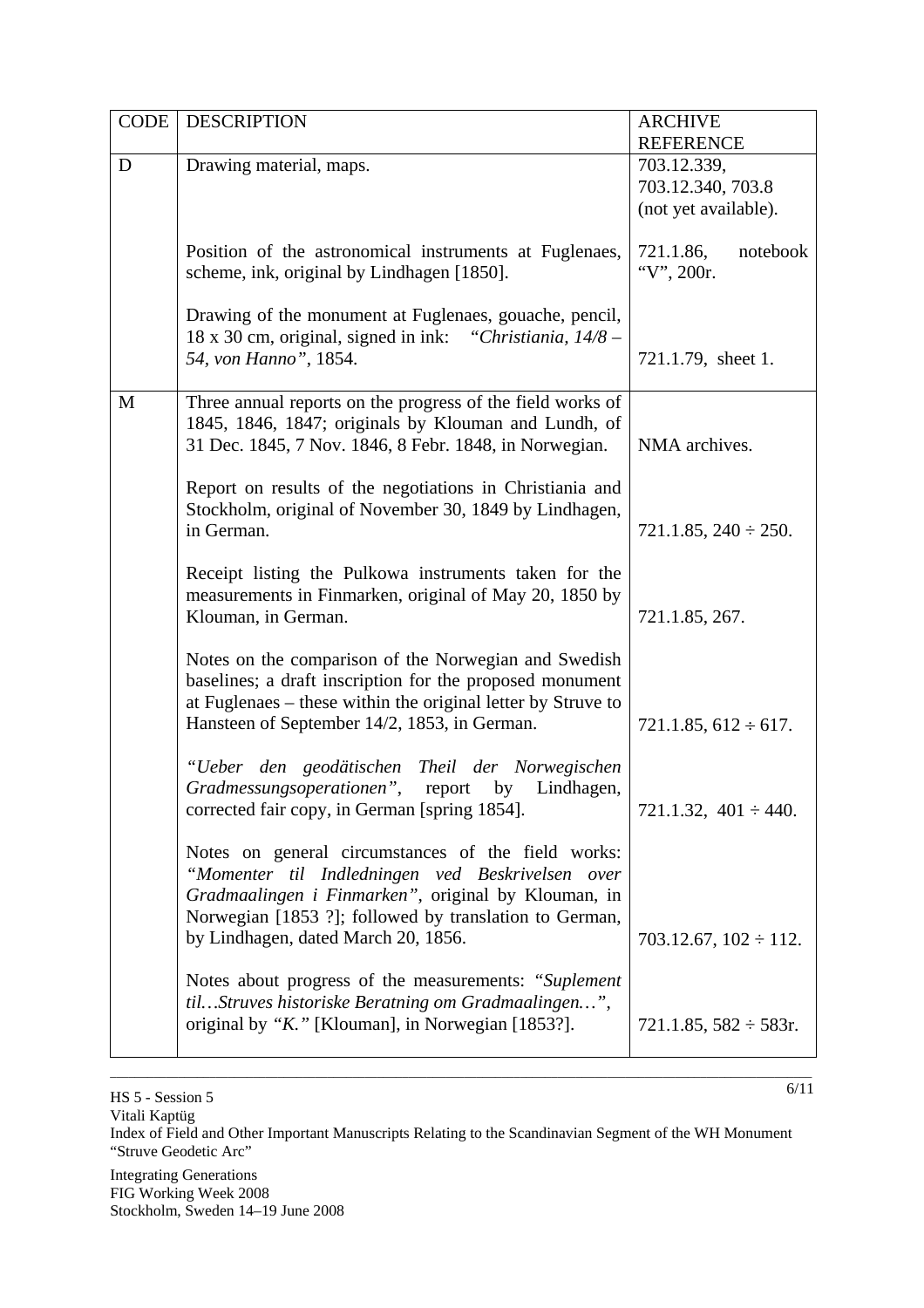| <b>CODE</b> | <b>DESCRIPTION</b>                                                                                                                                                                                                                                             | <b>ARCHIVE</b><br><b>REFERENCE</b>  |
|-------------|----------------------------------------------------------------------------------------------------------------------------------------------------------------------------------------------------------------------------------------------------------------|-------------------------------------|
| D           | Drawing material, maps.                                                                                                                                                                                                                                        | 703.12.339,                         |
|             |                                                                                                                                                                                                                                                                | 703.12.340, 703.8                   |
|             |                                                                                                                                                                                                                                                                | (not yet available).                |
|             | Position of the astronomical instruments at Fuglenaes,<br>scheme, ink, original by Lindhagen [1850].                                                                                                                                                           | 721.1.86,<br>notebook<br>"V", 200r. |
|             | Drawing of the monument at Fuglenaes, gouache, pencil,<br>18 x 30 cm, original, signed in ink: "Christiania, 14/8 –<br>54, von Hanno", 1854.                                                                                                                   | 721.1.79, sheet 1.                  |
| M           | Three annual reports on the progress of the field works of<br>1845, 1846, 1847; originals by Klouman and Lundh, of<br>31 Dec. 1845, 7 Nov. 1846, 8 Febr. 1848, in Norwegian.                                                                                   | NMA archives.                       |
|             | Report on results of the negotiations in Christiania and<br>Stockholm, original of November 30, 1849 by Lindhagen,<br>in German.                                                                                                                               | $721.1.85$ , $240 \div 250$ .       |
|             | Receipt listing the Pulkowa instruments taken for the<br>measurements in Finmarken, original of May 20, 1850 by<br>Klouman, in German.                                                                                                                         | 721.1.85, 267.                      |
|             | Notes on the comparison of the Norwegian and Swedish<br>baselines; a draft inscription for the proposed monument<br>at Fuglenaes – these within the original letter by Struve to<br>Hansteen of September 14/2, 1853, in German.                               | $721.1.85, 612 \div 617.$           |
|             | "Ueber den geodätischen Theil der Norwegischen<br>Gradmessungsoperationen", report by Lindhagen,<br>corrected fair copy, in German [spring 1854].                                                                                                              | $721.1.32, 401 \div 440.$           |
|             | Notes on general circumstances of the field works:<br>"Momenter til Indledningen ved Beskrivelsen over<br>Gradmaalingen i Finmarken", original by Klouman, in<br>Norwegian [1853 ?]; followed by translation to German,<br>by Lindhagen, dated March 20, 1856. | $703.12.67$ , $102 \div 112$ .      |
|             | Notes about progress of the measurements: "Suplement<br>tilStruves historiske Beratning om Gradmaalingen",<br>original by "K." [Klouman], in Norwegian [1853?].                                                                                                | $721.1.85, 582 \div 583r.$          |

HS 5 - Session 5

Vitali Kaptüg

Index of Field and Other Important Manuscripts Relating to the Scandinavian Segment of the WH Monument "Struve Geodetic Arc"

\_\_\_\_\_\_\_\_\_\_\_\_\_\_\_\_\_\_\_\_\_\_\_\_\_\_\_\_\_\_\_\_\_\_\_\_\_\_\_\_\_\_\_\_\_\_\_\_\_\_\_\_\_\_\_\_\_\_\_\_\_\_\_\_\_\_\_\_\_\_\_\_\_\_\_\_\_\_\_\_\_\_\_\_\_\_\_\_\_\_\_\_\_\_\_\_\_\_\_\_\_\_\_\_\_\_\_\_\_\_\_\_\_

Integrating Generations FIG Working Week 2008 Stockholm, Sweden 14–19 June 2008  $\frac{6}{11}$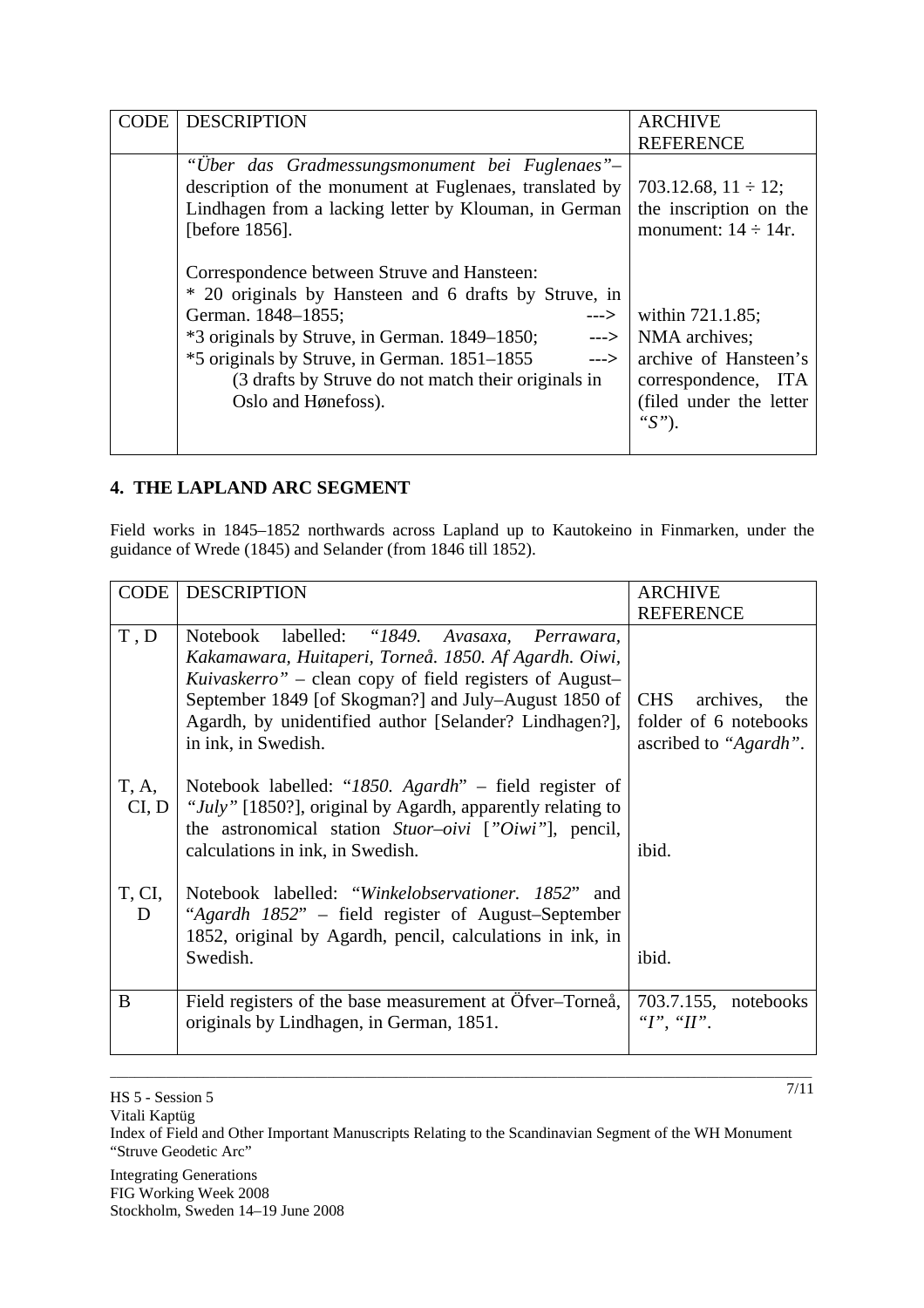| CODE | <b>DESCRIPTION</b>                                                                                                                                                                                                                                                                                                                                  | <b>ARCHIVE</b>                                                                                                            |
|------|-----------------------------------------------------------------------------------------------------------------------------------------------------------------------------------------------------------------------------------------------------------------------------------------------------------------------------------------------------|---------------------------------------------------------------------------------------------------------------------------|
|      |                                                                                                                                                                                                                                                                                                                                                     | <b>REFERENCE</b>                                                                                                          |
|      | "Uber das Gradmessungsmonument bei Fuglenaes"–<br>description of the monument at Fuglenaes, translated by<br>Lindhagen from a lacking letter by Klouman, in German<br>[before 1856].                                                                                                                                                                | 703.12.68, $11 \div 12$ ;<br>the inscription on the<br>monument: $14 \div 14$ r.                                          |
|      | Correspondence between Struve and Hansteen:<br>* 20 originals by Hansteen and 6 drafts by Struve, in<br>German. 1848–1855;<br>---><br>*3 originals by Struve, in German. 1849–1850;<br>$\rightarrow$<br>*5 originals by Struve, in German. 1851–1855<br>$\rightarrow$<br>(3 drafts by Struve do not match their originals in<br>Oslo and Hønefoss). | within 721.1.85;<br>NMA archives;<br>archive of Hansteen's<br>correspondence, ITA<br>(filed under the letter<br>" $S$ "). |

## **4. THE LAPLAND ARC SEGMENT**

Field works in 1845–1852 northwards across Lapland up to Kautokeino in Finmarken, under the guidance of Wrede (1845) and Selander (from 1846 till 1852).

| <b>CODE</b>    | <b>DESCRIPTION</b>                                                                                                                                                                                                                                                                                                    | <b>ARCHIVE</b>                                                                   |
|----------------|-----------------------------------------------------------------------------------------------------------------------------------------------------------------------------------------------------------------------------------------------------------------------------------------------------------------------|----------------------------------------------------------------------------------|
|                |                                                                                                                                                                                                                                                                                                                       | <b>REFERENCE</b>                                                                 |
| T, D           | Notebook labelled: "1849. Avasaxa,<br>Perrawara,<br>Kakamawara, Huitaperi, Torneå. 1850. Af Agardh. Oiwi,<br><i>Kuivaskerro</i> " – clean copy of field registers of August–<br>September 1849 [of Skogman?] and July–August 1850 of<br>Agardh, by unidentified author [Selander? Lindhagen?],<br>in ink, in Swedish. | <b>CHS</b><br>archives,<br>the<br>folder of 6 notebooks<br>ascribed to "Agardh". |
| T, A,<br>CI, D | Notebook labelled: "1850. Agardh" $-$ field register of<br>"July" [1850?], original by Agardh, apparently relating to<br>the astronomical station Stuor-oivi ["Oiwi"], pencil,<br>calculations in ink, in Swedish.                                                                                                    | ibid.                                                                            |
| T, CI,<br>D    | Notebook labelled: "Winkelobservationer. 1852" and<br>"Agardh 1852" – field register of August-September<br>1852, original by Agardh, pencil, calculations in ink, in<br>Swedish.                                                                                                                                     | ibid.                                                                            |
| B              | Field registers of the base measurement at Öfver-Torneå,<br>originals by Lindhagen, in German, 1851.                                                                                                                                                                                                                  | 703.7.155, notebooks<br>" $I$ ", " $II$ ".                                       |

Vitali Kaptüg

Index of Field and Other Important Manuscripts Relating to the Scandinavian Segment of the WH Monument "Struve Geodetic Arc"

\_\_\_\_\_\_\_\_\_\_\_\_\_\_\_\_\_\_\_\_\_\_\_\_\_\_\_\_\_\_\_\_\_\_\_\_\_\_\_\_\_\_\_\_\_\_\_\_\_\_\_\_\_\_\_\_\_\_\_\_\_\_\_\_\_\_\_\_\_\_\_\_\_\_\_\_\_\_\_\_\_\_\_\_\_\_\_\_\_\_\_\_\_\_\_\_\_\_\_\_\_\_\_\_\_\_\_\_\_\_\_\_\_

Integrating Generations FIG Working Week 2008 Stockholm, Sweden 14–19 June 2008  $\frac{7}{11}$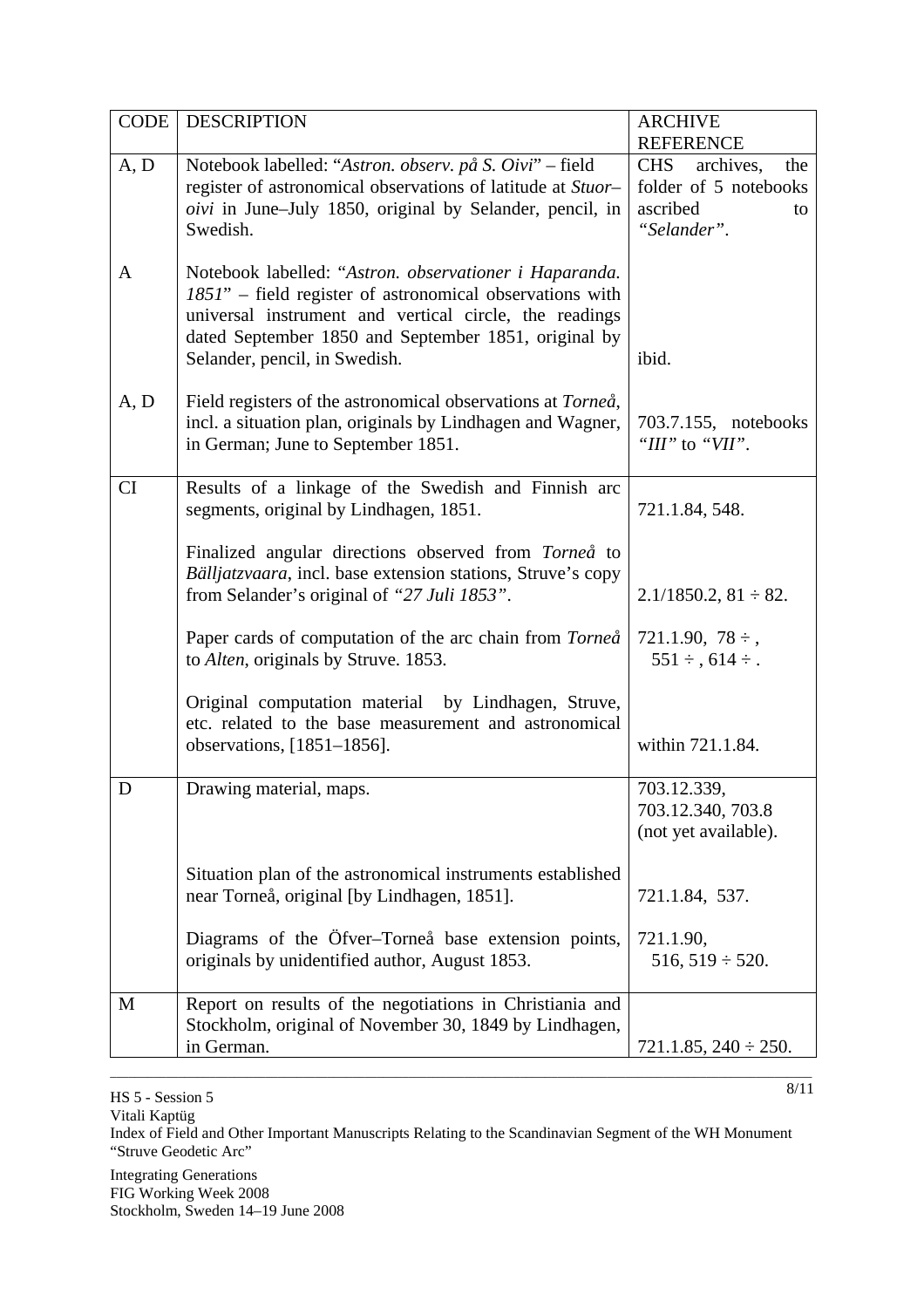| <b>CODE</b> | <b>DESCRIPTION</b>                                                                                                                                                                                                                                                    | <b>ARCHIVE</b><br><b>REFERENCE</b>                                                       |
|-------------|-----------------------------------------------------------------------------------------------------------------------------------------------------------------------------------------------------------------------------------------------------------------------|------------------------------------------------------------------------------------------|
| A, D        | Notebook labelled: "Astron. observ. på S. Oivi" – field<br>register of astronomical observations of latitude at Stuor-<br><i>oivi</i> in June–July 1850, original by Selander, pencil, in<br>Swedish.                                                                 | <b>CHS</b><br>archives,<br>the<br>folder of 5 notebooks<br>ascribed<br>to<br>"Selander". |
| A           | Notebook labelled: "Astron. observationer i Haparanda.<br>1851" – field register of astronomical observations with<br>universal instrument and vertical circle, the readings<br>dated September 1850 and September 1851, original by<br>Selander, pencil, in Swedish. | ibid.                                                                                    |
| A, D        | Field registers of the astronomical observations at Torneå,<br>incl. a situation plan, originals by Lindhagen and Wagner,<br>in German; June to September 1851.                                                                                                       | 703.7.155, notebooks<br>" $III"$ to " $VII"$ .                                           |
| CI          | Results of a linkage of the Swedish and Finnish arc<br>segments, original by Lindhagen, 1851.                                                                                                                                                                         | 721.1.84, 548.                                                                           |
|             | Finalized angular directions observed from Torneå to<br>Bälljatzvaara, incl. base extension stations, Struve's copy<br>from Selander's original of "27 Juli 1853".                                                                                                    | $2.1/1850.2$ , $81 \div 82$ .                                                            |
|             | Paper cards of computation of the arc chain from Torneå<br>to <i>Alten</i> , originals by Struve. 1853.                                                                                                                                                               | $721.1.90, 78 \div$ ,<br>$551 \div, 614 \div.$                                           |
|             | Original computation material by Lindhagen, Struve,<br>etc. related to the base measurement and astronomical<br>observations, $[1851-1856]$ .                                                                                                                         | within 721.1.84.                                                                         |
| D           | Drawing material, maps.                                                                                                                                                                                                                                               | 703.12.339,<br>703.12.340, 703.8<br>(not yet available).                                 |
|             | Situation plan of the astronomical instruments established<br>near Torneå, original [by Lindhagen, 1851].                                                                                                                                                             | 721.1.84, 537.                                                                           |
|             | Diagrams of the Öfver-Torneå base extension points,<br>originals by unidentified author, August 1853.                                                                                                                                                                 | 721.1.90,<br>$516, 519 \div 520.$                                                        |
| M           | Report on results of the negotiations in Christiania and<br>Stockholm, original of November 30, 1849 by Lindhagen,<br>in German.                                                                                                                                      | $721.1.85$ , $240 \div 250$ .                                                            |

HS 5 - Session 5

Vitali Kaptüg

Index of Field and Other Important Manuscripts Relating to the Scandinavian Segment of the WH Monument "Struve Geodetic Arc"

\_\_\_\_\_\_\_\_\_\_\_\_\_\_\_\_\_\_\_\_\_\_\_\_\_\_\_\_\_\_\_\_\_\_\_\_\_\_\_\_\_\_\_\_\_\_\_\_\_\_\_\_\_\_\_\_\_\_\_\_\_\_\_\_\_\_\_\_\_\_\_\_\_\_\_\_\_\_\_\_\_\_\_\_\_\_\_\_\_\_\_\_\_\_\_\_\_\_\_\_\_\_\_\_\_\_\_\_\_\_\_\_\_

Integrating Generations FIG Working Week 2008 Stockholm, Sweden 14–19 June 2008  $8/11$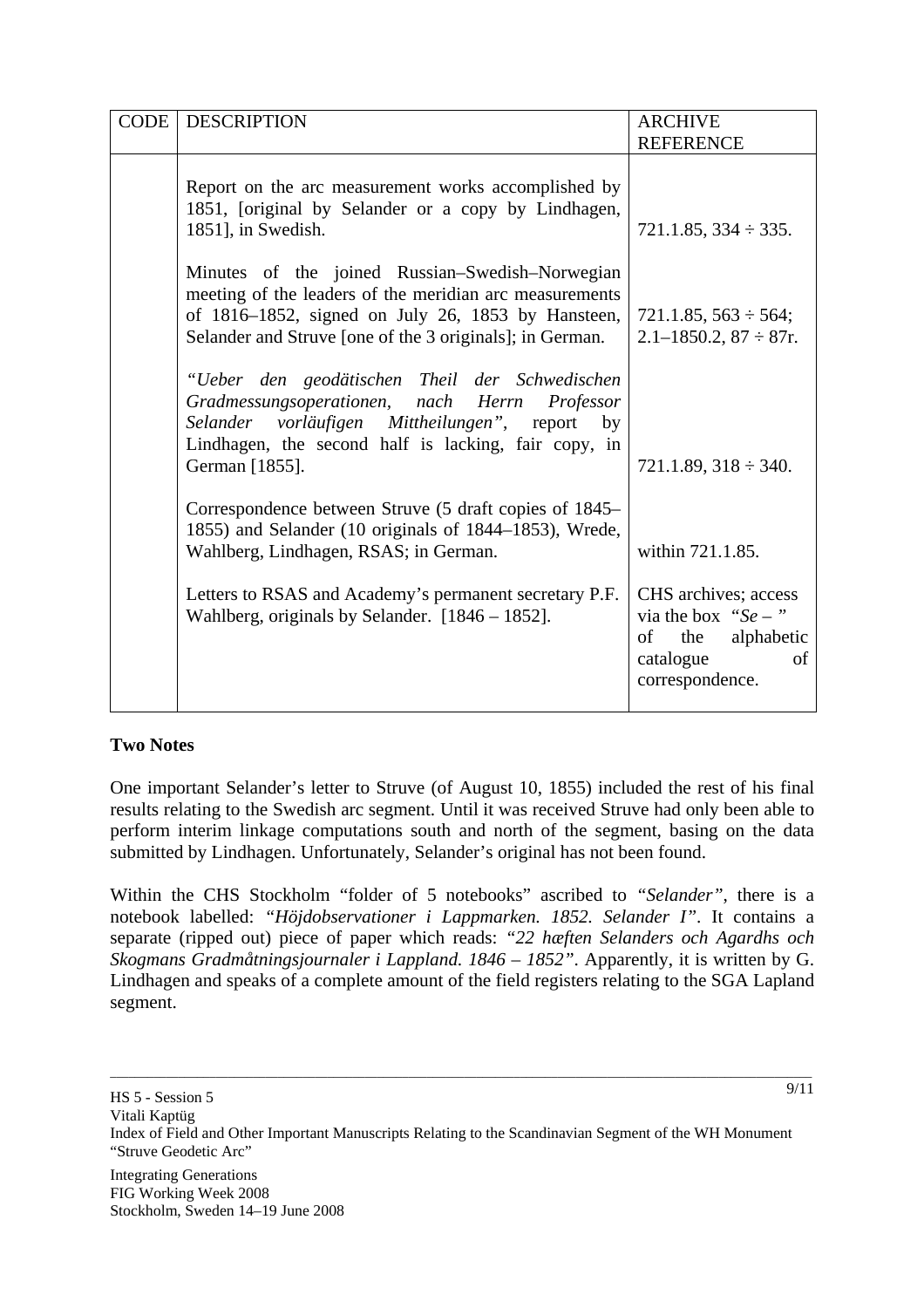| CODE | <b>DESCRIPTION</b>                                                                                                                                                                                                                                                        | <b>ARCHIVE</b>                                                                                                                      |
|------|---------------------------------------------------------------------------------------------------------------------------------------------------------------------------------------------------------------------------------------------------------------------------|-------------------------------------------------------------------------------------------------------------------------------------|
|      |                                                                                                                                                                                                                                                                           | <b>REFERENCE</b>                                                                                                                    |
|      | Report on the arc measurement works accomplished by<br>1851, [original by Selander or a copy by Lindhagen,<br>1851], in Swedish.                                                                                                                                          | $721.1.85, 334 \div 335.$                                                                                                           |
|      | Minutes of the joined Russian–Swedish–Norwegian<br>meeting of the leaders of the meridian arc measurements<br>of 1816–1852, signed on July 26, 1853 by Hansteen,<br>Selander and Struve [one of the 3 originals]; in German.                                              | $721.1.85, 563 \div 564;$<br>$2.1 - 1850.2$ , $87 \div 87$ r.                                                                       |
|      | "Ueber den geodätischen Theil der Schwedischen<br>Gradmessungsoperationen, nach Herrn<br>Professor<br>Selander vorläufigen Mittheilungen", report by<br>Lindhagen, the second half is lacking, fair copy, in<br>German [1855].                                            | $721.1.89, 318 \div 340.$                                                                                                           |
|      | Correspondence between Struve (5 draft copies of 1845–<br>1855) and Selander (10 originals of 1844–1853), Wrede,<br>Wahlberg, Lindhagen, RSAS; in German.<br>Letters to RSAS and Academy's permanent secretary P.F.<br>Wahlberg, originals by Selander. $[1846 - 1852]$ . | within 721.1.85.<br>CHS archives; access<br>via the box " $Se -$ "<br>the<br>alphabetic<br>of<br>catalogue<br>of<br>correspondence. |

## **Two Notes**

One important Selander's letter to Struve (of August 10, 1855) included the rest of his final results relating to the Swedish arc segment. Until it was received Struve had only been able to perform interim linkage computations south and north of the segment, basing on the data submitted by Lindhagen. Unfortunately, Selander's original has not been found.

Within the CHS Stockholm "folder of 5 notebooks" ascribed to *"Selander"*, there is a notebook labelled: *"Höjdobservationer i Lappmarken. 1852. Selander I"*. It contains a separate (ripped out) piece of paper which reads: *"22 hæften Selanders och Agardhs och Skogmans Gradmåtningsjournaler i Lappland. 1846 – 1852"*. Apparently, it is written by G. Lindhagen and speaks of a complete amount of the field registers relating to the SGA Lapland segment.

\_\_\_\_\_\_\_\_\_\_\_\_\_\_\_\_\_\_\_\_\_\_\_\_\_\_\_\_\_\_\_\_\_\_\_\_\_\_\_\_\_\_\_\_\_\_\_\_\_\_\_\_\_\_\_\_\_\_\_\_\_\_\_\_\_\_\_\_\_\_\_\_\_\_\_\_\_\_\_\_\_\_\_\_\_\_\_\_\_\_\_\_\_\_\_\_\_\_\_\_\_\_\_\_\_\_\_\_\_\_\_\_\_ 9/11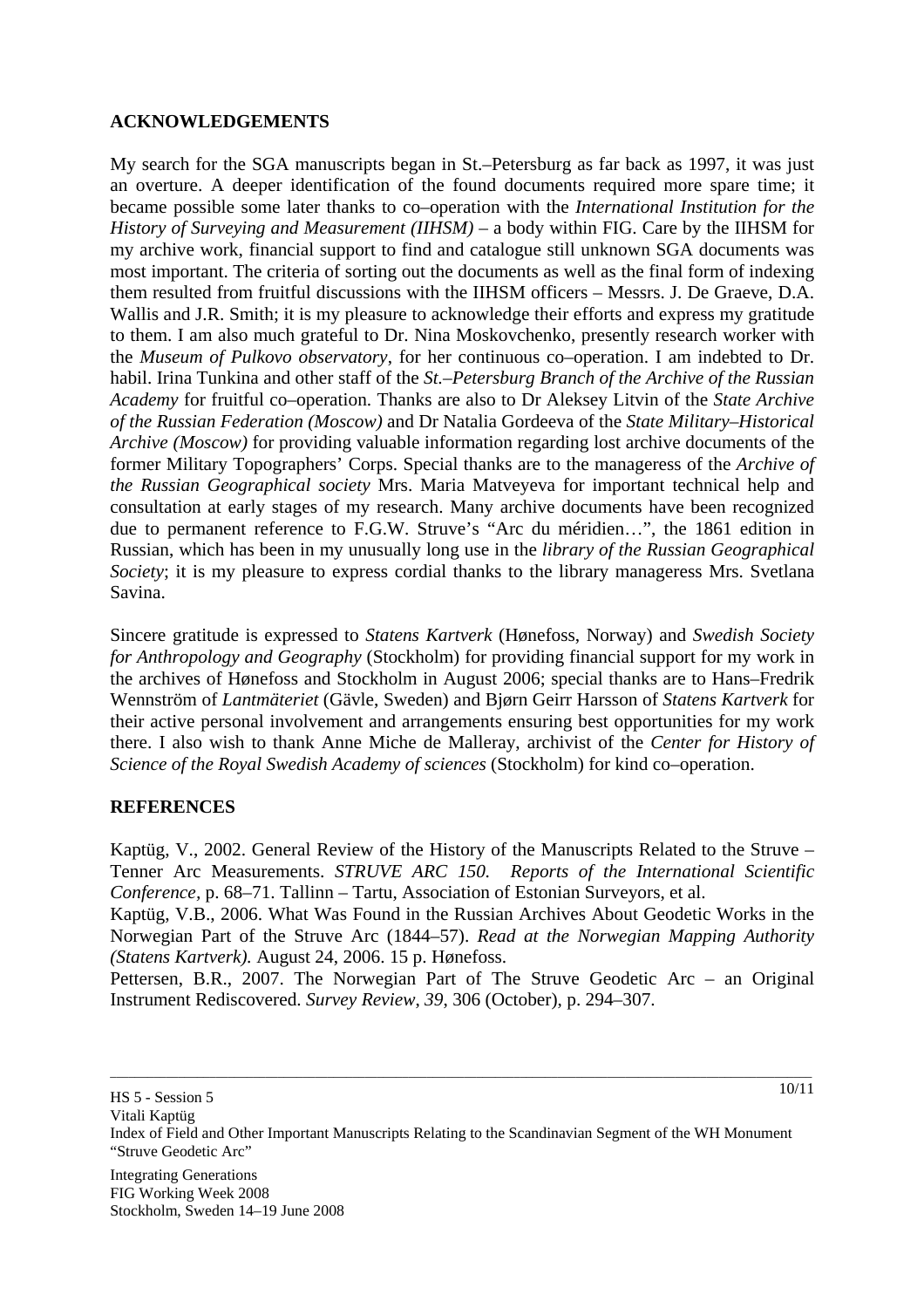## **ACKNOWLEDGEMENTS**

My search for the SGA manuscripts began in St.–Petersburg as far back as 1997, it was just an overture. A deeper identification of the found documents required more spare time; it became possible some later thanks to co–operation with the *International Institution for the History of Surveying and Measurement (IIHSM)* – a body within FIG. Care by the IIHSM for my archive work, financial support to find and catalogue still unknown SGA documents was most important. The criteria of sorting out the documents as well as the final form of indexing them resulted from fruitful discussions with the IIHSM officers – Messrs. J. De Graeve, D.A. Wallis and J.R. Smith; it is my pleasure to acknowledge their efforts and express my gratitude to them. I am also much grateful to Dr. Nina Moskovchenko, presently research worker with the *Museum of Pulkovo observatory*, for her continuous co–operation. I am indebted to Dr. habil. Irina Tunkina and other staff of the *St.–Petersburg Branch of the Archive of the Russian Academy* for fruitful co–operation. Thanks are also to Dr Aleksey Litvin of the *State Archive of the Russian Federation (Moscow)* and Dr Natalia Gordeeva of the *State Military–Historical Archive (Moscow)* for providing valuable information regarding lost archive documents of the former Military Topographers' Corps. Special thanks are to the manageress of the *Archive of the Russian Geographical society* Mrs. Maria Matveyeva for important technical help and consultation at early stages of my research. Many archive documents have been recognized due to permanent reference to F.G.W. Struve's "Arc du méridien…", the 1861 edition in Russian, which has been in my unusually long use in the *library of the Russian Geographical Society*; it is my pleasure to express cordial thanks to the library manageress Mrs. Svetlana Savina.

Sincere gratitude is expressed to *Statens Kartverk* (Hønefoss, Norway) and *Swedish Society for Anthropology and Geography* (Stockholm) for providing financial support for my work in the archives of Hønefoss and Stockholm in August 2006; special thanks are to Hans–Fredrik Wennström of *Lantmäteriet* (Gävle, Sweden) and Bjørn Geirr Harsson of *Statens Kartverk* for their active personal involvement and arrangements ensuring best opportunities for my work there. I also wish to thank Anne Miche de Malleray, archivist of the *Center for History of Science of the Royal Swedish Academy of sciences* (Stockholm) for kind co–operation.

#### **REFERENCES**

Kaptüg, V., 2002. General Review of the History of the Manuscripts Related to the Struve – Tenner Arc Measurements. *STRUVE ARC 150. Reports of the International Scientific Conference,* p. 68–71. Tallinn – Tartu, Association of Estonian Surveyors, et al.

Kaptüg, V.B., 2006. What Was Found in the Russian Archives About Geodetic Works in the Norwegian Part of the Struve Arc (1844–57). *Read at the Norwegian Mapping Authority (Statens Kartverk).* August 24, 2006. 15 p. Hønefoss.

Pettersen, B.R., 2007. The Norwegian Part of The Struve Geodetic Arc – an Original Instrument Rediscovered. *Survey Review*, *39*, 306 (October), p. 294–307.

\_\_\_\_\_\_\_\_\_\_\_\_\_\_\_\_\_\_\_\_\_\_\_\_\_\_\_\_\_\_\_\_\_\_\_\_\_\_\_\_\_\_\_\_\_\_\_\_\_\_\_\_\_\_\_\_\_\_\_\_\_\_\_\_\_\_\_\_\_\_\_\_\_\_\_\_\_\_\_\_\_\_\_\_\_\_\_\_\_\_\_\_\_\_\_\_\_\_\_\_\_\_\_\_\_\_\_\_\_\_\_\_\_

10/11

Vitali Kaptüg Index of Field and Other Important Manuscripts Relating to the Scandinavian Segment of the WH Monument "Struve Geodetic Arc"

HS 5 - Session 5